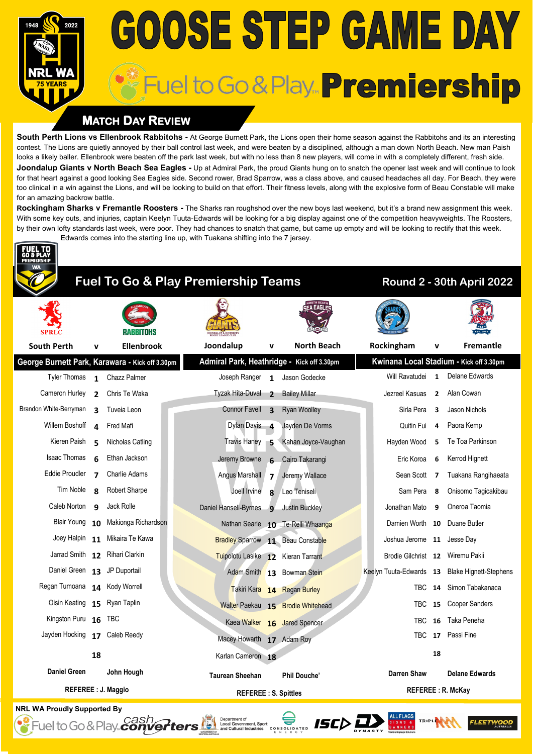# **GOOSE STEP GAME DAY** Fuel to Go & Play... Premiership

## **MATCH DAY REVIEW**

**South Perth Lions vs Ellenbrook Rabbitohs -** At George Burnett Park, the Lions open their home season against the Rabbitohs and its an interesting contest. The Lions are quietly annoyed by their ball control last week, and were beaten by a disciplined, although a man down North Beach. New man Paish looks a likely baller. Ellenbrook were beaten off the park last week, but with no less than 8 new players, will come in with a completely different, fresh side. **Joondalup Giants v North Beach Sea Eagles -** Up at Admiral Park, the proud Giants hung on to snatch the opener last week and will continue to look for that heart against a good looking Sea Eagles side. Second rower, Brad Sparrow, was a class above, and caused headaches all day. For Beach, they were too clinical in a win against the Lions, and will be looking to build on that effort. Their fitness levels, along with the explosive form of Beau Constable will make for an amazing backrow battle.

**Rockingham Sharks v Fremantle Roosters -** The Sharks ran roughshod over the new boys last weekend, but it's a brand new assignment this week. With some key outs, and injuries, captain Keelyn Tuuta-Edwards will be looking for a big display against one of the competition heavyweights. The Roosters, by their own lofty standards last week, were poor. They had chances to snatch that game, but came up empty and will be looking to rectify that this week. Edwards comes into the starting line up, with Tuakana shifting into the 7 jersey.



## **Fuel To Go & Play Premiership Teams Round 2 - 30th April 2022**

| <b>SPRLC</b>                                    |                          | RABBITOHS                      |                                            |                          |                                   |  |                            |                         |                                                |
|-------------------------------------------------|--------------------------|--------------------------------|--------------------------------------------|--------------------------|-----------------------------------|--|----------------------------|-------------------------|------------------------------------------------|
| <b>South Perth</b>                              | v                        | <b>Ellenbrook</b>              | Joondalup                                  | v                        | <b>North Beach</b>                |  | Rockingham                 | v                       | Fremantle                                      |
| George Burnett Park, Karawara - Kick off 3.30pm |                          |                                | Admiral Park, Heathridge - Kick off 3.30pm |                          |                                   |  |                            |                         | Kwinana Local Stadium - Kick off 3.30pm        |
| <b>Tyler Thomas</b>                             | $\mathbf{1}$             | Chazz Palmer                   | Joseph Ranger 1                            |                          | Jason Godecke                     |  | Will Ravatudei             | $\mathbf{1}$            | <b>Delane Edwards</b>                          |
| Cameron Hurley                                  | $\overline{\phantom{a}}$ | Chris Te Waka                  | Tyzak Hita-Duval                           | $\overline{\phantom{a}}$ | <b>Bailey Millar</b>              |  | Jezreel Kasuas             | $\overline{2}$          | Alan Cowan                                     |
| Brandon White-Berryman                          | 3                        | Tuveia Leon                    | <b>Connor Favell</b>                       | $\overline{\mathbf{3}}$  | <b>Ryan Woolley</b>               |  | Sirla Pera                 | $\overline{\mathbf{3}}$ | Jason Nichols                                  |
| Willem Boshoff                                  | 4                        | Fred Mafi                      | Dylan Davis 4                              |                          | Jayden De Vorms                   |  | Quitin Fui                 | 4                       | Paora Kemp                                     |
| Kieren Paish                                    | 5.                       | Nicholas Catling               | <b>Travis Haney</b>                        | -5                       | Kahan Joyce-Vaughan               |  | Hayden Wood                | 5                       | Te Toa Parkinson                               |
| <b>Isaac Thomas</b>                             | 6                        | Ethan Jackson                  | Jeremy Browne                              | 6                        | Cairo Takarangi                   |  | Eric Koroa                 | 6                       | Kerrod Hignett                                 |
| Eddie Proudler                                  | $\overline{\mathbf{z}}$  | <b>Charlie Adams</b>           | Angus Marshall                             | $\overline{\mathbf{z}}$  | Jeremy Wallace                    |  | Sean Scott                 | 7                       | Tuakana Rangihaeata                            |
| Tim Noble                                       | $\mathbf{R}$             | <b>Robert Sharpe</b>           | Joell Irvine                               | $\mathbf{8}$             | Leo Teniseli                      |  | Sam Pera                   | 8                       | Onisomo Tagicakibau                            |
| Caleb Norton                                    | q                        | Jack Rolle                     | Daniel Hansell-Byrnes                      | $\mathbf{q}$             | <b>Justin Buckley</b>             |  | Jonathan Mato              | 9                       | Oneroa Taomia                                  |
| Blair Young                                     |                          | 10 Makionga Richardson         |                                            |                          | Nathan Searle 10 Te-Relli Whaanga |  | Damien Worth 10            |                         | Duane Butler                                   |
| Joey Halpin 11                                  |                          | Mikaira Te Kawa                | <b>Bradley Sparrow 11 Beau Constable</b>   |                          |                                   |  | Joshua Jerome 11 Jesse Day |                         |                                                |
|                                                 |                          | Jarrad Smith 12 Rihari Clarkin | Tuipolotu Lasike 12 Kieran Tarrant         |                          |                                   |  | Brodie Gilchrist 12        |                         | Wiremu Pakii                                   |
| Daniel Green 13 JP Duportail                    |                          |                                |                                            |                          | Adam Smith 13 Bowman Stein        |  |                            |                         | Keelyn Tuuta-Edwards 13 Blake Hignett-Stephens |
| Regan Tumoana 14 Kody Worrell                   |                          |                                |                                            |                          | Takiri Kara 14 Regan Burley       |  | <b>TBC</b>                 | 14                      | Simon Tabakanaca                               |
| Oisin Keating 15 Ryan Taplin                    |                          |                                |                                            |                          | Walter Paekau 15 Brodie Whitehead |  | <b>TBC</b>                 | 15                      | <b>Cooper Sanders</b>                          |
| Kingston Puru 16 TBC                            |                          |                                |                                            |                          | Kaea Walker 16 Jared Spencer      |  | <b>TBC</b>                 | 16                      | Taka Peneha                                    |
| Jayden Hocking 17 Caleb Reedy                   |                          |                                | Macey Howarth 17 Adam Roy                  |                          |                                   |  | <b>TBC</b>                 | 17                      | Passi Fine                                     |
|                                                 | 18                       |                                | Karlan Cameron 18                          |                          |                                   |  |                            | 18                      |                                                |
| <b>Daniel Green</b>                             |                          | John Hough                     | <b>Taurean Sheehan</b>                     |                          | <b>Phil Douche'</b>               |  | <b>Darren Shaw</b>         |                         | <b>Delane Edwards</b>                          |
| <b>REFEREE : J. Maggio</b>                      |                          |                                | <b>REFEREE: S. Spittles</b>                |                          | <b>REFEREE: R. McKay</b>          |  |                            |                         |                                                |